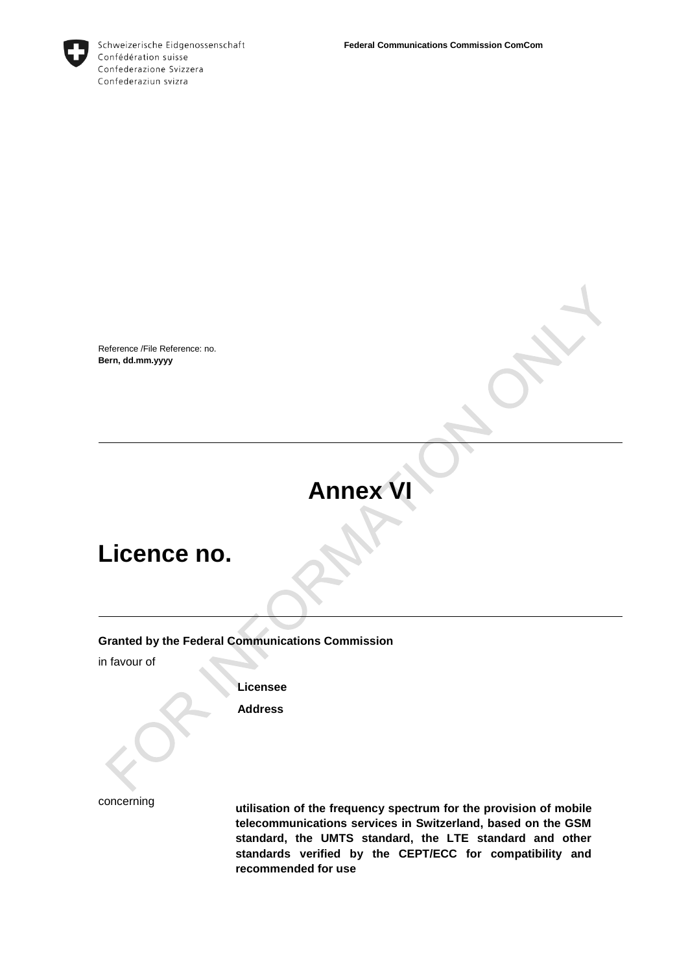

Schweizerische Eidgenossenschaft Confédération suisse Confederazione Svizzera Confederaziun svizra

Reference /File Reference: no. **Bern, dd.mm.yyyy**

## **Annex VI**

## **Licence no.**

#### **Granted by the Federal Communications Commission**

in favour of

**Licensee**

**Address**

concerning

**utilisation of the frequency spectrum for the provision of mobile telecommunications services in Switzerland, based on the GSM standard, the UMTS standard, the LTE standard and other standards verified by the CEPT/ECC for compatibility and recommended for use**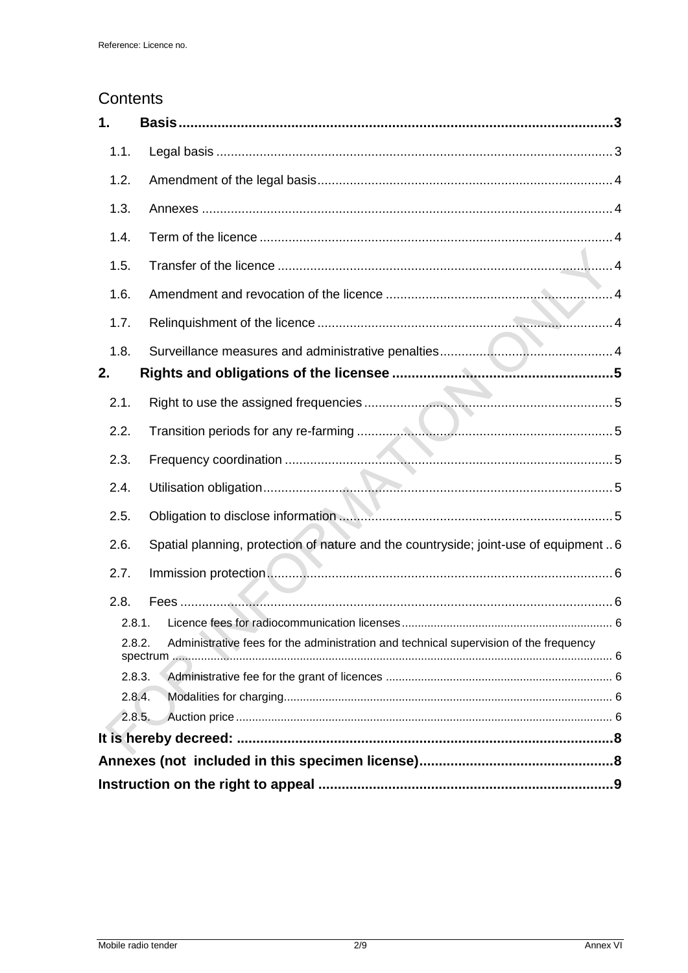### Contents

| 1.     |                                                                                       |
|--------|---------------------------------------------------------------------------------------|
| 1.1.   |                                                                                       |
| 1.2.   |                                                                                       |
| 1.3.   |                                                                                       |
| 1.4.   |                                                                                       |
| 1.5.   |                                                                                       |
| 1.6.   |                                                                                       |
| 1.7.   |                                                                                       |
| 1.8.   |                                                                                       |
| 2.     |                                                                                       |
| 2.1.   |                                                                                       |
| 2.2.   |                                                                                       |
| 2.3.   |                                                                                       |
| 2.4.   |                                                                                       |
| 2.5.   | Obligation to disclose information <b>Constitution</b> 5                              |
| 2.6.   | Spatial planning, protection of nature and the countryside; joint-use of equipment  6 |
| 2.7.   |                                                                                       |
| 2.8.   |                                                                                       |
| 2.8.1. |                                                                                       |
| 2.8.2. | Administrative fees for the administration and technical supervision of the frequency |
|        | 2.8.3.                                                                                |
| 2.8.4. |                                                                                       |
| 2.8.5. |                                                                                       |
|        |                                                                                       |
|        |                                                                                       |
|        |                                                                                       |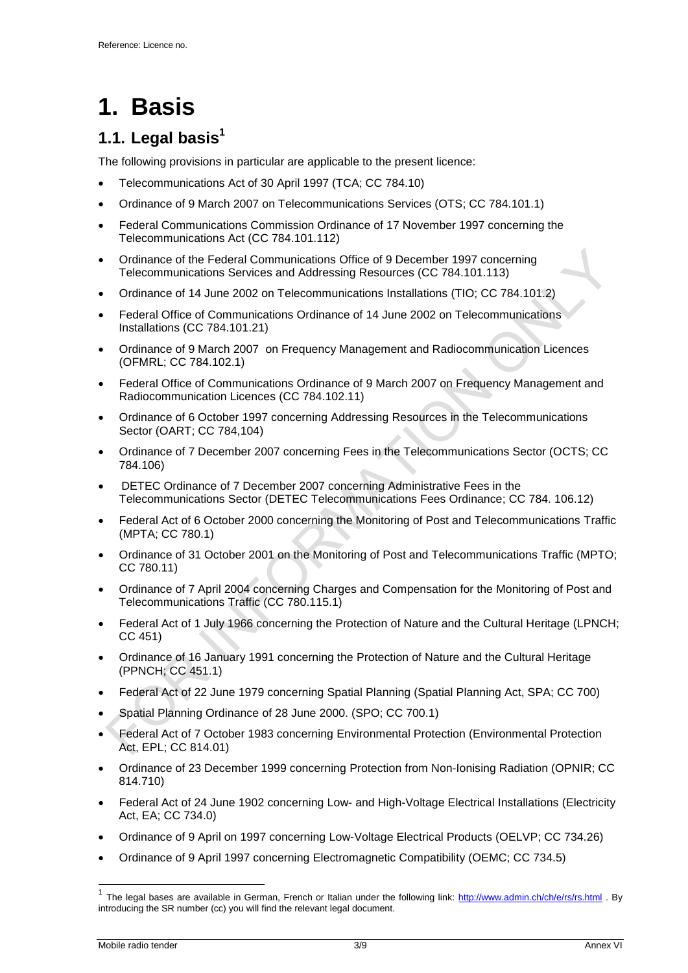# <span id="page-2-0"></span>**1. Basis**

## <span id="page-2-1"></span>**1.1. Legal basis<sup>1</sup>**

The following provisions in particular are applicable to the present licence:

- Telecommunications Act of 30 April 1997 (TCA; CC 784.10)
- Ordinance of 9 March 2007 on Telecommunications Services (OTS; CC 784.101.1)
- [Federal Communications Commission Ordinance of 17 November 1997 concerning the](http://www.admin.ch/ch/d/sr/c784_101_112.html)  [Telecommunications Act \(](http://www.admin.ch/ch/d/sr/c784_101_112.html)CC 784.101.112)
- Ordinance of the Federal Communications Office of 9 December 1997 concerning Telecommunications Services and Addressing Resources (CC 784.101.113)
- Ordinance of 14 June 2002 on Telecommunications Installations (TIO; CC 784.101.2)
- [Federal Office of Communications Ordinance of 14 June 2002 on Telecommunications](http://www.admin.ch/ch/d/sr/c784_101_21.html) [Installations](http://www.admin.ch/ch/d/sr/c784_101_21.html) (CC 784.101.21)
- Ordinance of 9 March 2007 on Frequency Management and Radiocommunication Licences (OFMRL; CC 784.102.1)
- [Federal Office of Communications Ordinance of 9 March 2007 on Frequency Management and](http://www.admin.ch/ch/d/sr/c784_102_11.html)  [Radiocommunication Licences \(](http://www.admin.ch/ch/d/sr/c784_102_11.html)CC 784.102.11)
- Ordinance of 6 October 1997 concerning Addressing Resources in the Telecommunications Sector (OART; CC 784,104)
- Ordinance of 7 December 2007 concerning Fees in the Telecommunications Sector (OCTS; CC 784.106)
- DETEC Ordinance of 7 December 2007 concerning Administrative Fees in the Telecommunications Sector (DETEC Telecommunications Fees Ordinance; CC 784. 106.12)
- Federal Act of 6 October 2000 concerning the Monitoring of Post and Telecommunications Traffic (MPTA; CC 780.1)
- Ordinance of 31 October 2001 on the Monitoring of Post and Telecommunications Traffic (MPTO; CC 780.11)
- Ordinance of 7 April 2004 concerning Charges and Compensation for the Monitoring of Post and Telecommunications Traffic (CC 780.115.1)
- Federal Act of 1 July 1966 concerning the Protection of Nature and the Cultural Heritage (LPNCH; CC 451)
- Ordinance of 16 January 1991 concerning the Protection of Nature and the Cultural Heritage (PPNCH; CC 451.1)
- Federal Act of 22 June 1979 concerning Spatial Planning (Spatial Planning Act, SPA; CC 700)
- Spatial Planning Ordinance of 28 June 2000. (SPO; CC 700.1)
- Federal Act of 7 October 1983 concerning Environmental Protection (Environmental Protection Act, EPL; CC 814.01)
- Ordinance of 23 December 1999 concerning Protection from Non-Ionising Radiation (OPNIR; CC 814.710)
- Federal Act of 24 June 1902 concerning Low- and High-Voltage Electrical Installations (Electricity Act, EA; CC 734.0)
- Ordinance of 9 April on 1997 concerning Low-Voltage Electrical Products (OELVP; CC 734.26)
- Ordinance of 9 April 1997 concerning Electromagnetic Compatibility (OEMC; CC 734.5)

 1 The legal bases are available in German, French or Italian under the following link:<http://www.admin.ch/ch/e/rs/rs.html> . By introducing the SR number (cc) you will find the relevant legal document.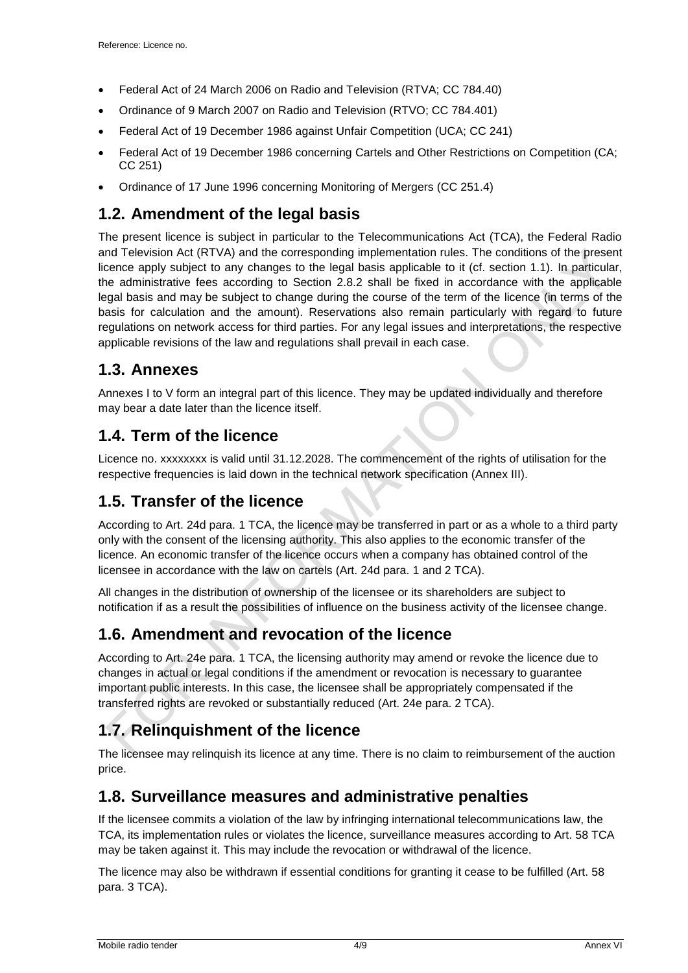- [Federal Act of 24 March 2006 on Radio and Television \(RTVA; CC 784.40\)](http://www.admin.ch/ch/d/sr/c784_40.html)
- Ordinance of 9 March 2007 on [Radio and Television \(RTVO; CC 784.401\)](http://www.admin.ch/ch/d/sr/c784_401.html)
- Federal Act of 19 December 1986 against Unfair Competition (UCA; CC 241)
- Federal Act of 19 December 1986 concerning Cartels and Other Restrictions on Competition (CA; CC 251)
- Ordinance of 17 June 1996 concerning Monitoring of Mergers (CC 251.4)

#### <span id="page-3-0"></span>**1.2. Amendment of the legal basis**

The present licence is subject in particular to the Telecommunications Act (TCA), the Federal Radio and Television Act (RTVA) and the corresponding implementation rules. The conditions of the present licence apply subject to any changes to the legal basis applicable to it (cf. section 1.1). In particular, the administrative fees according to Section 2.8.2 shall be fixed in accordance with the applicable legal basis and may be subject to change during the course of the term of the licence (in terms of the basis for calculation and the amount). Reservations also remain particularly with regard to future regulations on network access for third parties. For any legal issues and interpretations, the respective applicable revisions of the law and regulations shall prevail in each case.

#### <span id="page-3-1"></span>**1.3. Annexes**

Annexes I to V form an integral part of this licence. They may be updated individually and therefore may bear a date later than the licence itself.

#### <span id="page-3-2"></span>**1.4. Term of the licence**

Licence no. xxxxxxxx is valid until 31.12.2028. The commencement of the rights of utilisation for the respective frequencies is laid down in the technical network specification (Annex III).

#### <span id="page-3-3"></span>**1.5. Transfer of the licence**

According to Art. 24d para. 1 TCA, the licence may be transferred in part or as a whole to a third party only with the consent of the licensing authority. This also applies to the economic transfer of the licence. An economic transfer of the licence occurs when a company has obtained control of the licensee in accordance with the law on cartels (Art. 24d para. 1 and 2 TCA).

All changes in the distribution of ownership of the licensee or its shareholders are subject to notification if as a result the possibilities of influence on the business activity of the licensee change.

#### <span id="page-3-4"></span>**1.6. Amendment and revocation of the licence**

According to Art. 24e para. 1 TCA, the licensing authority may amend or revoke the licence due to changes in actual or legal conditions if the amendment or revocation is necessary to guarantee important public interests. In this case, the licensee shall be appropriately compensated if the transferred rights are revoked or substantially reduced (Art. 24e para. 2 TCA).

## <span id="page-3-5"></span>**1.7. Relinquishment of the licence**

The licensee may relinquish its licence at any time. There is no claim to reimbursement of the auction price.

#### <span id="page-3-6"></span>**1.8. Surveillance measures and administrative penalties**

If the licensee commits a violation of the law by infringing international telecommunications law, the TCA, its implementation rules or violates the licence, surveillance measures according to Art. 58 TCA may be taken against it. This may include the revocation or withdrawal of the licence.

The licence may also be withdrawn if essential conditions for granting it cease to be fulfilled (Art. 58 para. 3 TCA).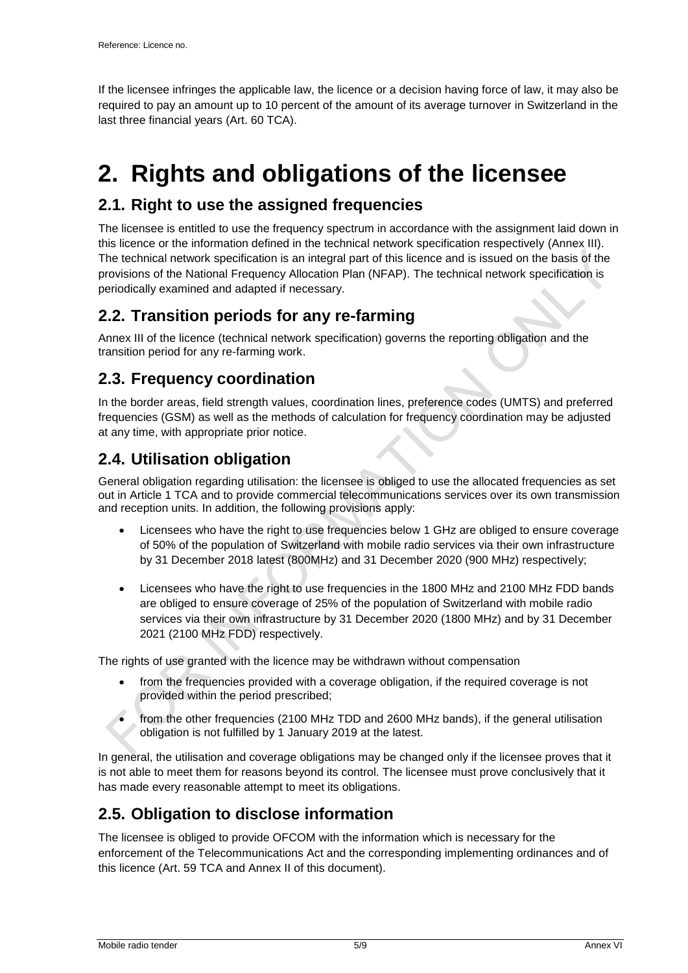If the licensee infringes the applicable law, the licence or a decision having force of law, it may also be required to pay an amount up to 10 percent of the amount of its average turnover in Switzerland in the last three financial years (Art. 60 TCA).

## <span id="page-4-0"></span>**2. Rights and obligations of the licensee**

#### <span id="page-4-1"></span>**2.1. Right to use the assigned frequencies**

The licensee is entitled to use the frequency spectrum in accordance with the assignment laid down in this licence or the information defined in the technical network specification respectively (Annex III). The technical network specification is an integral part of this licence and is issued on the basis of the provisions of the National Frequency Allocation Plan (NFAP). The technical network specification is periodically examined and adapted if necessary.

### <span id="page-4-2"></span>**2.2. Transition periods for any re-farming**

Annex III of the licence (technical network specification) governs the reporting obligation and the transition period for any re-farming work.

### <span id="page-4-3"></span>**2.3. Frequency coordination**

In the border areas, field strength values, coordination lines, preference codes (UMTS) and preferred frequencies (GSM) as well as the methods of calculation for frequency coordination may be adjusted at any time, with appropriate prior notice.

### <span id="page-4-4"></span>**2.4. Utilisation obligation**

General obligation regarding utilisation: the licensee is obliged to use the allocated frequencies as set out in Article 1 TCA and to provide commercial telecommunications services over its own transmission and reception units. In addition, the following provisions apply:

- Licensees who have the right to use frequencies below 1 GHz are obliged to ensure coverage of 50% of the population of Switzerland with mobile radio services via their own infrastructure by 31 December 2018 latest (800MHz) and 31 December 2020 (900 MHz) respectively;
- Licensees who have the right to use frequencies in the 1800 MHz and 2100 MHz FDD bands are obliged to ensure coverage of 25% of the population of Switzerland with mobile radio services via their own infrastructure by 31 December 2020 (1800 MHz) and by 31 December 2021 (2100 MHz FDD) respectively.

The rights of use granted with the licence may be withdrawn without compensation

- from the frequencies provided with a coverage obligation, if the required coverage is not provided within the period prescribed;
- from the other frequencies (2100 MHz TDD and 2600 MHz bands), if the general utilisation obligation is not fulfilled by 1 January 2019 at the latest.

In general, the utilisation and coverage obligations may be changed only if the licensee proves that it is not able to meet them for reasons beyond its control. The licensee must prove conclusively that it has made every reasonable attempt to meet its obligations.

#### <span id="page-4-5"></span>**2.5. Obligation to disclose information**

The licensee is obliged to provide OFCOM with the information which is necessary for the enforcement of the Telecommunications Act and the corresponding implementing ordinances and of this licence (Art. 59 TCA and Annex II of this document).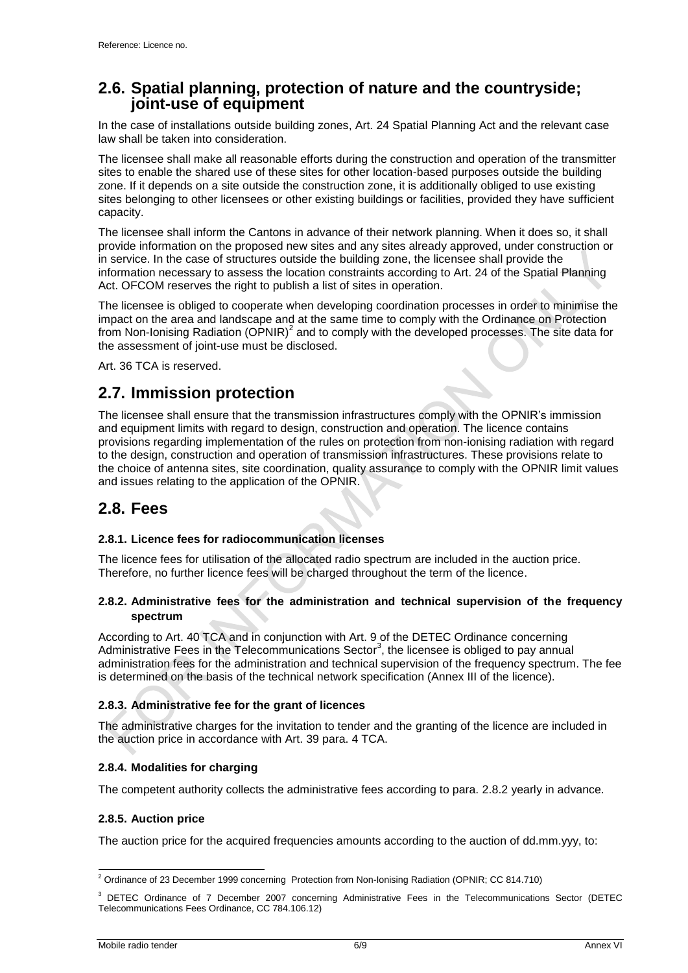#### <span id="page-5-0"></span>**2.6. Spatial planning, protection of nature and the countryside; joint-use of equipment**

In the case of installations outside building zones, Art. 24 Spatial Planning Act and the relevant case law shall be taken into consideration.

The licensee shall make all reasonable efforts during the construction and operation of the transmitter sites to enable the shared use of these sites for other location-based purposes outside the building zone. If it depends on a site outside the construction zone, it is additionally obliged to use existing sites belonging to other licensees or other existing buildings or facilities, provided they have sufficient capacity.

The licensee shall inform the Cantons in advance of their network planning. When it does so, it shall provide information on the proposed new sites and any sites already approved, under construction or in service. In the case of structures outside the building zone, the licensee shall provide the information necessary to assess the location constraints according to Art. 24 of the Spatial Planning Act. OFCOM reserves the right to publish a list of sites in operation.

The licensee is obliged to cooperate when developing coordination processes in order to minimise the impact on the area and landscape and at the same time to comply with the Ordinance on Protection from Non-Ionising Radiation (OPNIR)<sup>2</sup> and to comply with the developed processes. The site data for the assessment of joint-use must be disclosed.

Art. 36 TCA is reserved.

#### <span id="page-5-1"></span>**2.7. Immission protection**

The licensee shall ensure that the transmission infrastructures comply with the OPNIR's immission and equipment limits with regard to design, construction and operation. The licence contains provisions regarding implementation of the rules on protection from non-ionising radiation with regard to the design, construction and operation of transmission infrastructures. These provisions relate to the choice of antenna sites, site coordination, quality assurance to comply with the OPNIR limit values and issues relating to the application of the OPNIR.

#### <span id="page-5-2"></span>**2.8. Fees**

#### <span id="page-5-3"></span>**2.8.1. Licence fees for radiocommunication licenses**

The licence fees for utilisation of the allocated radio spectrum are included in the auction price. Therefore, no further licence fees will be charged throughout the term of the licence.

#### <span id="page-5-4"></span>**2.8.2. Administrative fees for the administration and technical supervision of the frequency spectrum**

According to Art. 40 TCA and in conjunction with Art. 9 of the DETEC Ordinance concerning Administrative Fees in the Telecommunications Sector<sup>3</sup>, the licensee is obliged to pay annual administration fees for the administration and technical supervision of the frequency spectrum. The fee is determined on the basis of the technical network specification (Annex III of the licence).

#### <span id="page-5-5"></span>**2.8.3. Administrative fee for the grant of licences**

The administrative charges for the invitation to tender and the granting of the licence are included in the auction price in accordance with Art. 39 para. 4 TCA.

#### <span id="page-5-6"></span>**2.8.4. Modalities for charging**

<span id="page-5-7"></span>The competent authority collects the administrative fees according to para. [2.8.2](#page-5-4) yearly in advance.

#### **2.8.5. Auction price**

The auction price for the acquired frequencies amounts according to the auction of dd.mm.yyy, to:

<sup>-</sup><sup>2</sup> Ordinance of 23 December 1999 concerning Protection from Non-Ionising Radiation (OPNIR; CC 814.710)

<sup>&</sup>lt;sup>3</sup> DETEC Ordinance of 7 December 2007 concerning Administrative Fees in the Telecommunications Sector (DETEC Telecommunications Fees Ordinance, CC 784.106.12)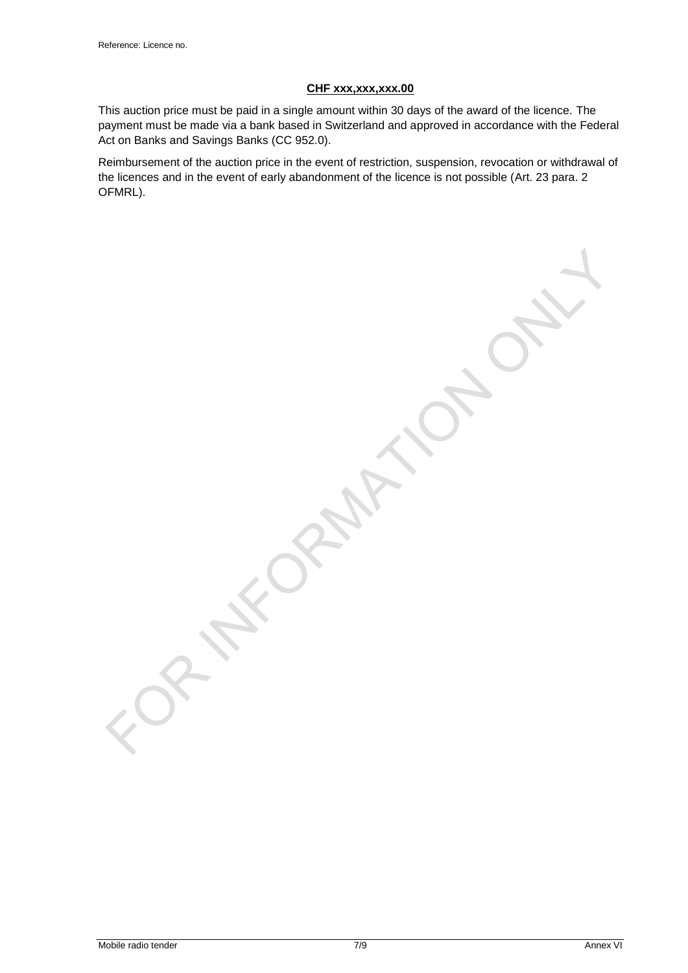#### **CHF xxx,xxx,xxx.00**

This auction price must be paid in a single amount within 30 days of the award of the licence. The payment must be made via a bank based in Switzerland and approved in accordance with the Federal Act on Banks and Savings Banks (CC 952.0).

Reimbursement of the auction price in the event of restriction, suspension, revocation or withdrawal of the licences and in the event of early abandonment of the licence is not possible (Art. 23 para. 2 OFMRL).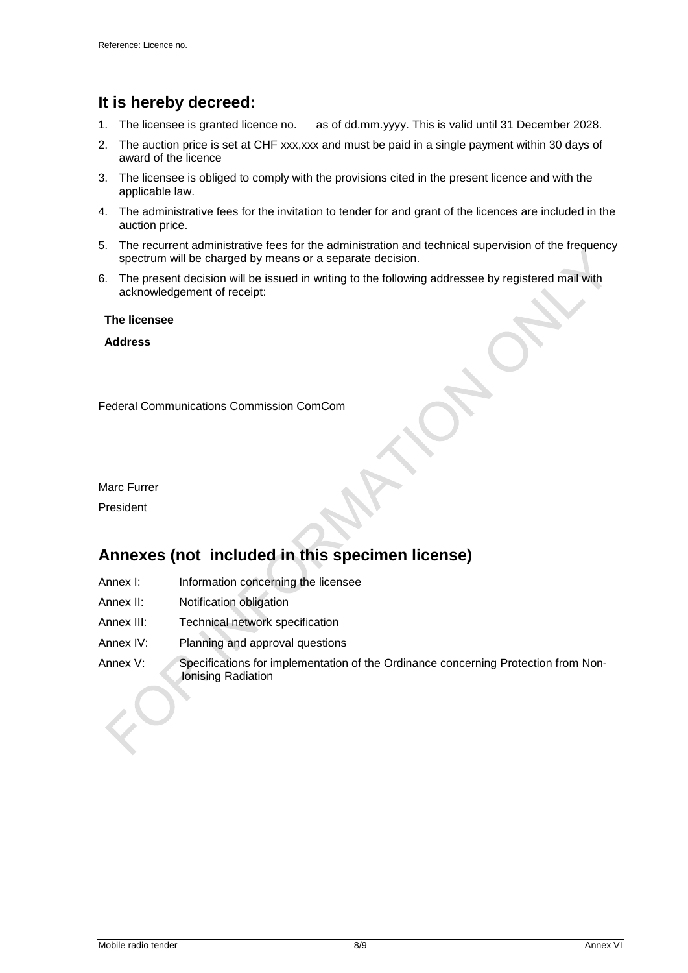## <span id="page-7-0"></span>**It is hereby decreed:**

- 1. The licensee is granted licence no. as of dd.mm.yyyy. This is valid until 31 December 2028.
- 2. The auction price is set at CHF xxx, xxx and must be paid in a single payment within 30 days of award of the licence
- 3. The licensee is obliged to comply with the provisions cited in the present licence and with the applicable law.
- 4. The administrative fees for the invitation to tender for and grant of the licences are included in the auction price.
- 5. The recurrent administrative fees for the administration and technical supervision of the frequency spectrum will be charged by means or a separate decision.
- 6. The present decision will be issued in writing to the following addressee by registered mail with acknowledgement of receipt:

**The licensee**

**Address**

Federal Communications Commission ComCom

Marc Furrer

<span id="page-7-1"></span>President

## **Annexes (not included in this specimen license)**

- Annex I: Information concerning the licensee
- Annex II: Notification obligation
- Annex III: Technical network specification
- Annex IV: Planning and approval questions
- Annex V: Specifications for implementation of the Ordinance concerning Protection from Non-Ionising Radiation